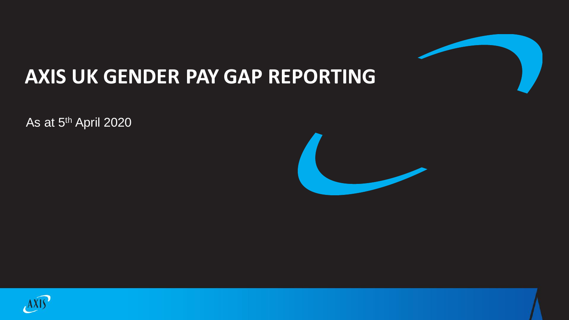

### **AXIS UK GENDER PAY GAP REPORTING**

As at 5th April 2020



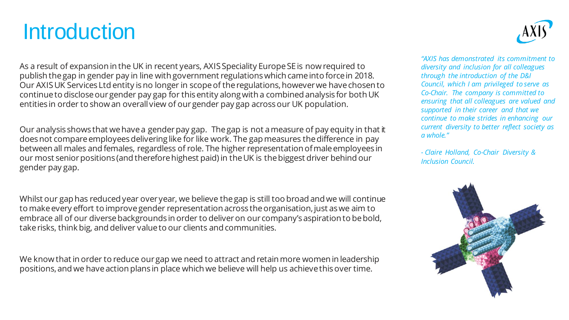## **Introduction**



As a result of expansion in the UK in recent years, AXIS Speciality Europe SE is now required to publish the gap in gender pay in line with government regulations which came into force in 2018. Our AXIS UK Services Ltd entity is no longer in scope of the regulations, however we have chosen to continue to disclose our gender pay gap for this entity along with a combined analysis for both UK entities in order to show an overall view of our gender pay gap across our UK population.

Our analysis shows that we have a gender pay gap. The gap is not a measure of pay equity in that it does not compare employees delivering like for like work. The gap measures the difference in pay between all males and females, regardless of role. The higher representation of male employees in our most senior positions (and therefore highest paid) in the UK is the biggest driver behind our gender pay gap.

Whilst our gap has reduced year over year, we believe the gap is still too broad and we will continue to make every effort to improve gender representation across the organisation, just as we aim to embrace all of our diverse backgrounds in order to deliver on our company's aspiration to be bold, take risks, think big, and deliver value to our clients and communities.

We know that in order to reduce our gap we need to attract and retain more women in leadership positions, and we have action plans in place which we believe will help us achieve this over time.

*"AXIS has demonstrated its commitment to diversity and inclusion for all colleagues through the introduction of the D&I Council, which I am privileged to serve as Co-Chair. The company is committed to ensuring that all colleagues are valued and supported in their career and that we continue to make strides in enhancing our current diversity to better reflect society as a whole."* 

*- Claire Holland, Co-Chair Diversity & Inclusion Council.*

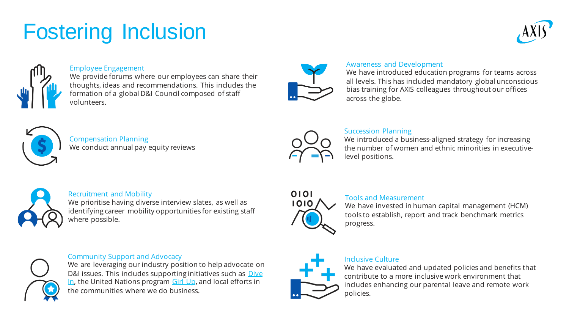# Fostering Inclusion





### Employee Engagement

We provide forums where our employees can share their thoughts, ideas and recommendations. This includes the formation of a global D&I Council composed of staff volunteers.



### Awareness and Development

We have introduced education programs for teams across all levels. This has included mandatory global unconscious bias training for AXIS colleagues throughout our offices across the globe.



Compensation Planning We conduct annual pay equity reviews



### Succession Planning

We introduced a business-aligned strategy for increasing the number of women and ethnic minorities in executivelevel positions.

### Recruitment and Mobility

We prioritise having diverse interview slates, as well as identifying career mobility opportunities for existing staff where possible.

### Community Support and Advocacy

We are leveraging our industry position to help advocate on [D&I issues. This includes supporting initiatives such as](https://diveinfestival.com/) Dive In, the United Nations program [Girl Up,](https://www.girlup.org/) and local efforts in the communities where we do business.



### Tools and Measurement

We have invested in human capital management (HCM) tools to establish, report and track benchmark metrics progress.

### Inclusive Culture

We have evaluated and updated policies and benefits that contribute to a more inclusive work environment that includes enhancing our parental leave and remote work policies.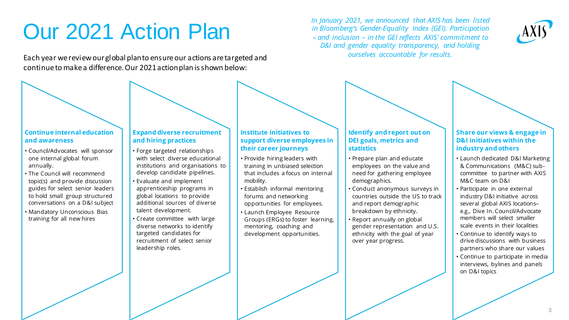## Our 2021 Action Plan

Each year we review our global plan to ensure our actions are targeted and continue to make a difference. Our 2021 action plan is shown below:

**Continue internal education and awareness**

- Council/Advocates will sponsor one internal global forum annually.
- The Council will recommend topic(s) and provide discussion guides for select senior leaders to hold small group structured conversations on a D&I subject
- Mandatory Unconscious Bias training for all new hires

#### **Expand diverse recruitment and hiring practices**

- Forge targeted relationships with select diverse educational institutions and organisations to develop candidate pipelines.
- Evaluate and implement apprenticeship programs in global locations to provide additional sources of diverse talent development.
- Create committee with large diverse networks to identify targeted candidates for recruitment of select senior leadership roles.

#### **Institute initiatives to support diverse employees in their career journeys**

- Provide hiring leaders with training in unbiased selection that includes a focus on internal mobility.
- Establish informal mentoring forums and networking opportunities for employees.
- Launch Employee Resource Groups (ERGs) to foster learning, mentoring, coaching and development opportunities.

### **Identify and report out on DEI goals, metrics and statistics**

- Prepare plan and educate employees on the value and need for gathering employee demographics.
- Conduct anonymous surveys in countries outside the US to track and report demographic breakdown by ethnicity.
- Report annually on global gender representation and U.S. ethnicity with the goal of year over year progress.

#### **Share our views & engage in D&I initiatives within the industry and others**

- Launch dedicated D&I Marketing & Communications (M&C) subcommittee to partner with AXIS M&C team on D&I
- Participate in one external industry D&I initiative across several global AXIS locations– e.g., Dive In. Council/Advocate members will select smaller scale events in their localities
- Continue to identify ways to drive discussions with business partners who share our values
- Continue to participate in media interviews, bylines and panels on D&I topics

*In January 2021, we announced that AXIS has been listed in Bloomberg's Gender-Equality Index (GEI). Participation – and inclusion – in the GEI reflects AXIS' commitment to D&I and gender equality transparency, and holding ourselves accountable for results.*

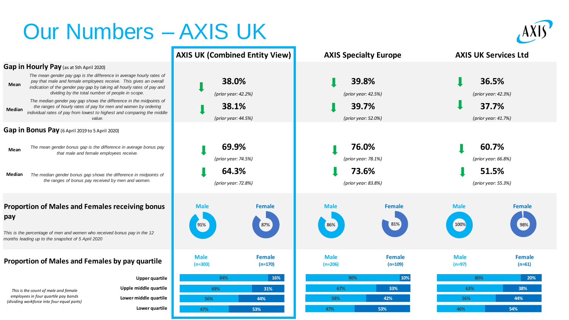## Our Numbers – AXIS UK

**AXIS UK (Combined Entity View)**

### **Gap in Hourly Pay** (as at 5th April 2020)

**Mean** *The mean gender pay gap is the difference in average hourly rates of pay that male and female employees receive. This gives an overall indication of the gender pay gap by taking all hourly rates of pay and dividing by the total number of people in scope.*

**Median** *The median gender pay gap shows the difference in the midpoints of the ranges of hourly rates of pay for men and women by ordering individual rates of pay from lowest to highest and comparing the middle value.*

### **Gap in Bonus Pay** (6 April 2019 to 5 April 2020)

- *The mean gender bonus gap is the difference in average bonus pay that male and female employees receive.* **Mean**
- *The median gender bonus gap shows the difference in midpoints of the ranges of bonus pay received by men and women.* **Median**

### **Proportion of Males and Females receiving bonus pay**

*This is the percentage of men and women who received bonus pay in the 12 months leading up to the snapshot of 5 April 2020*

### **Proportion of Males and Females by pay quartile**

*This is the count of male and female employees in four quartile pay bands (dividing workforce into four equal parts)* **Upple middle quartile Lower middle quartile Lower quartile** 

**Upper quartile**